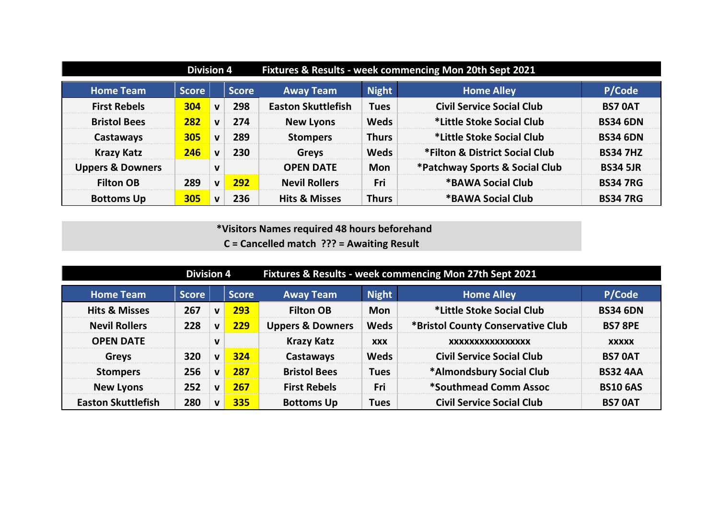|                             | <b>Division 4</b> |              |              | Fixtures & Results - week commencing Mon 20th Sept 2021 |              |                                  |                 |  |
|-----------------------------|-------------------|--------------|--------------|---------------------------------------------------------|--------------|----------------------------------|-----------------|--|
| <b>Home Team</b>            | <b>Score</b>      |              | <b>Score</b> | <b>Away Team</b>                                        | <b>Night</b> | <b>Home Alley</b>                | P/Code          |  |
| <b>First Rebels</b>         | 304               | $\mathbf v$  | 298          | <b>Easton Skuttlefish</b>                               | <b>Tues</b>  | <b>Civil Service Social Club</b> | <b>BS7 0AT</b>  |  |
| <b>Bristol Bees</b>         | 282               | $\mathbf{V}$ | 274          | <b>New Lyons</b>                                        | <b>Weds</b>  | *Little Stoke Social Club        | <b>BS34 6DN</b> |  |
| Castaways                   | 305               | $\mathbf v$  | 289          | <b>Stompers</b>                                         | <b>Thurs</b> | *Little Stoke Social Club        | <b>BS34 6DN</b> |  |
| <b>Krazy Katz</b>           | 246               | $\mathbf v$  | 230          | <b>Greys</b>                                            | <b>Weds</b>  | *Filton & District Social Club   | <b>BS34 7HZ</b> |  |
| <b>Uppers &amp; Downers</b> |                   | $\mathbf v$  |              | <b>OPEN DATE</b>                                        | <b>Mon</b>   | *Patchway Sports & Social Club   | <b>BS34 5JR</b> |  |
| <b>Filton OB</b>            | 289               | V            | 292          | <b>Nevil Rollers</b>                                    | Fri          | *BAWA Social Club                | <b>BS34 7RG</b> |  |
| <b>Bottoms Up</b>           | 305               | $\mathbf v$  | 236          | <b>Hits &amp; Misses</b>                                | <b>Thurs</b> | <b>*BAWA Social Club</b>         | <b>BS34 7RG</b> |  |

**C = Cancelled match ??? = Awaiting Result**

|                           | <b>Division 4</b> |              |              | Fixtures & Results - week commencing Mon 27th Sept 2021 |              |                                   |                 |  |
|---------------------------|-------------------|--------------|--------------|---------------------------------------------------------|--------------|-----------------------------------|-----------------|--|
| <b>Home Team</b>          | <b>Score</b>      |              | <b>Score</b> | <b>Away Team</b>                                        | <b>Night</b> | <b>Home Alley</b>                 | P/Code          |  |
| <b>Hits &amp; Misses</b>  | 267               | $\mathbf v$  | 293          | <b>Filton OB</b>                                        | <b>Mon</b>   | *Little Stoke Social Club         | <b>BS34 6DN</b> |  |
| <b>Nevil Rollers</b>      | 228               | $\mathbf v$  | 229          | <b>Uppers &amp; Downers</b>                             | <b>Weds</b>  | *Bristol County Conservative Club | <b>BS7 8PE</b>  |  |
| <b>OPEN DATE</b>          |                   | ν            |              | <b>Krazy Katz</b>                                       | <b>XXX</b>   | XXXXXXXXXXXXXXXX                  | <b>XXXXX</b>    |  |
| <b>Greys</b>              | 320               | $\mathbf v$  | 324          | <b>Castaways</b>                                        | <b>Weds</b>  | <b>Civil Service Social Club</b>  | <b>BS7 OAT</b>  |  |
| <b>Stompers</b>           | 256               | $\mathbf v$  | 287          | <b>Bristol Bees</b>                                     | <b>Tues</b>  | *Almondsbury Social Club          | <b>BS32 4AA</b> |  |
| <b>New Lyons</b>          | 252               | $\mathbf{v}$ | 267          | <b>First Rebels</b>                                     | Fri          | *Southmead Comm Assoc             | <b>BS10 6AS</b> |  |
| <b>Easton Skuttlefish</b> | 280               | $\mathbf v$  | 335          | <b>Bottoms Up</b>                                       | <b>Tues</b>  | <b>Civil Service Social Club</b>  | <b>BS7 0AT</b>  |  |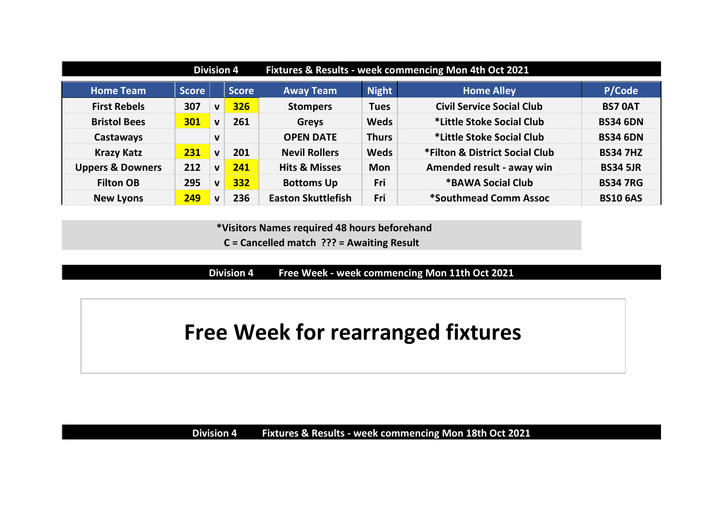|                             | <b>Division 4</b> |              |              | Fixtures & Results - week commencing Mon 4th Oct 2021 |              |                                  |                 |  |
|-----------------------------|-------------------|--------------|--------------|-------------------------------------------------------|--------------|----------------------------------|-----------------|--|
| <b>Home Team</b>            | <b>Score</b>      |              | <b>Score</b> | <b>Away Team</b>                                      | <b>Night</b> | <b>Home Alley</b>                | P/Code          |  |
| <b>First Rebels</b>         | 307               | V            | 326          | <b>Stompers</b>                                       | <b>Tues</b>  | <b>Civil Service Social Club</b> | <b>BS7 0AT</b>  |  |
| <b>Bristol Bees</b>         | 301               | $\mathbf{V}$ | 261          | <b>Greys</b>                                          | <b>Weds</b>  | *Little Stoke Social Club        | <b>BS34 6DN</b> |  |
| Castaways                   |                   | $\mathbf{v}$ |              | <b>OPEN DATE</b>                                      | <b>Thurs</b> | *Little Stoke Social Club        | <b>BS34 6DN</b> |  |
| <b>Krazy Katz</b>           | 231               | $\mathbf{V}$ | 201          | <b>Nevil Rollers</b>                                  | <b>Weds</b>  | *Filton & District Social Club   | <b>BS34 7HZ</b> |  |
| <b>Uppers &amp; Downers</b> | 212               | V            | 241          | <b>Hits &amp; Misses</b>                              | <b>Mon</b>   | Amended result - away win        | <b>BS34 5JR</b> |  |
| <b>Filton OB</b>            | 295               | V            | 332          | <b>Bottoms Up</b>                                     | Fri          | *BAWA Social Club                | <b>BS34 7RG</b> |  |
| <b>New Lyons</b>            | 249               | $\mathbf v$  | 236          | <b>Easton Skuttlefish</b>                             | Fri          | *Southmead Comm Assoc            | <b>BS10 6AS</b> |  |

 **\*Visitors Names required 48 hours beforehand C = Cancelled match ??? = Awaiting Result**

**Division 4 Free Week - week commencing Mon 11th Oct 2021**

**Free Week for rearranged fixtures**

**Division 4 Fixtures & Results - week commencing Mon 18th Oct 2021**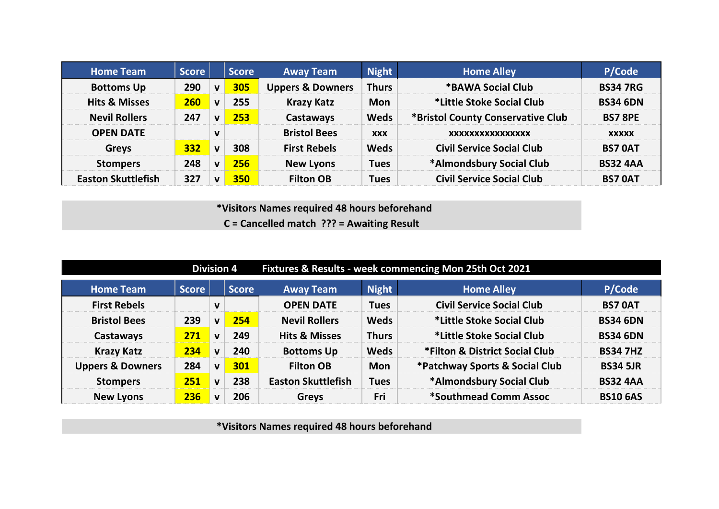| <b>Home Team</b>          | <b>Score</b> |              | <b>Score</b> | <b>Away Team</b>            | <b>Night</b> | <b>Home Alley</b>                 | P/Code          |
|---------------------------|--------------|--------------|--------------|-----------------------------|--------------|-----------------------------------|-----------------|
| <b>Bottoms Up</b>         | 290          | V            | 305          | <b>Uppers &amp; Downers</b> | <b>Thurs</b> | <b>*BAWA Social Club</b>          | <b>BS34 7RG</b> |
| <b>Hits &amp; Misses</b>  | 260          | $\mathbf v$  | 255          | <b>Krazy Katz</b>           | <b>Mon</b>   | *Little Stoke Social Club         | <b>BS34 6DN</b> |
| <b>Nevil Rollers</b>      | 247          | $\mathbf v$  | 253          | Castaways                   | <b>Weds</b>  | *Bristol County Conservative Club | <b>BS7 8PE</b>  |
| <b>OPEN DATE</b>          |              | $\mathbf v$  |              | <b>Bristol Bees</b>         | <b>XXX</b>   | XXXXXXXXXXXXXXXX                  | <b>XXXXX</b>    |
| <b>Greys</b>              | 332          | $\mathbf{V}$ | 308          | <b>First Rebels</b>         | <b>Weds</b>  | <b>Civil Service Social Club</b>  | <b>BS7 0AT</b>  |
| <b>Stompers</b>           | 248          | $\mathbf{v}$ | 256          | <b>New Lyons</b>            | <b>Tues</b>  | *Almondsbury Social Club          | <b>BS32 4AA</b> |
| <b>Easton Skuttlefish</b> | 327          | V            | 350          | <b>Filton OB</b>            | <b>Tues</b>  | <b>Civil Service Social Club</b>  | <b>BS7 0AT</b>  |

 **\*Visitors Names required 48 hours beforehand C = Cancelled match ??? = Awaiting Result**

|                             | <b>Division 4</b> |              |              | Fixtures & Results - week commencing Mon 25th Oct 2021 |              |                                  |                 |  |  |
|-----------------------------|-------------------|--------------|--------------|--------------------------------------------------------|--------------|----------------------------------|-----------------|--|--|
| <b>Home Team</b>            | <b>Score</b>      |              | <b>Score</b> | <b>Away Team</b>                                       | <b>Night</b> | <b>Home Alley</b>                | P/Code          |  |  |
| <b>First Rebels</b>         |                   | $\mathbf v$  |              | <b>OPEN DATE</b>                                       | <b>Tues</b>  | <b>Civil Service Social Club</b> | <b>BS7 0AT</b>  |  |  |
| <b>Bristol Bees</b>         | 239               | $\mathbf{v}$ | 254          | <b>Nevil Rollers</b>                                   | <b>Weds</b>  | *Little Stoke Social Club        | <b>BS34 6DN</b> |  |  |
| Castaways                   | 271               | $\mathbf v$  | 249          | <b>Hits &amp; Misses</b>                               | <b>Thurs</b> | *Little Stoke Social Club        | <b>BS34 6DN</b> |  |  |
| <b>Krazy Katz</b>           | 234               | $\mathbf v$  | 240          | <b>Bottoms Up</b>                                      | <b>Weds</b>  | *Filton & District Social Club   | <b>BS34 7HZ</b> |  |  |
| <b>Uppers &amp; Downers</b> | 284               | $\mathbf{v}$ | 301          | <b>Filton OB</b>                                       | <b>Mon</b>   | *Patchway Sports & Social Club   | <b>BS34 5JR</b> |  |  |
| <b>Stompers</b>             | 251               | $\mathbf v$  | 238          | <b>Easton Skuttlefish</b>                              | <b>Tues</b>  | *Almondsbury Social Club         | <b>BS32 4AA</b> |  |  |
| <b>New Lyons</b>            | 236               | $\mathbf{v}$ | 206          | <b>Greys</b>                                           | Fri          | *Southmead Comm Assoc            | <b>BS10 6AS</b> |  |  |

 **\*Visitors Names required 48 hours beforehand**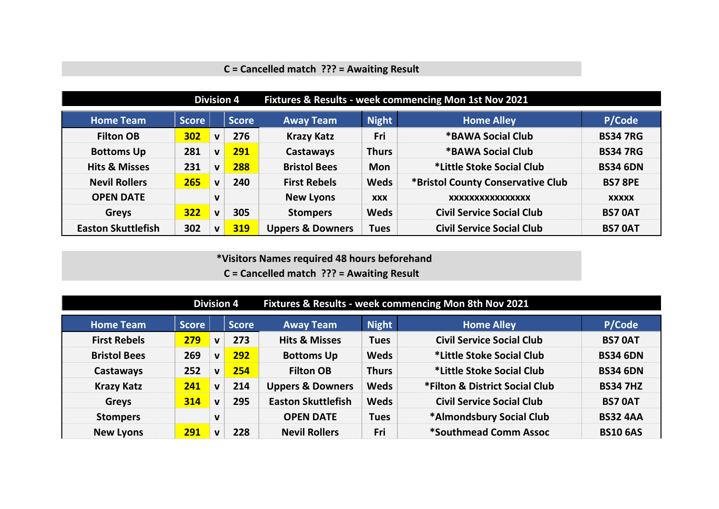## **C = Cancelled match ??? = Awaiting Result**

|                           |              |              | <b>Division 4</b> | Fixtures & Results - week commencing Mon 1st Nov 2021 |              |                                   |                 |  |  |
|---------------------------|--------------|--------------|-------------------|-------------------------------------------------------|--------------|-----------------------------------|-----------------|--|--|
| <b>Home Team</b>          | <b>Score</b> |              | <b>Score</b>      | <b>Away Team</b>                                      | <b>Night</b> | <b>Home Alley</b>                 | P/Code          |  |  |
| <b>Filton OB</b>          | 302          | $\mathbf{v}$ | 276               | <b>Krazy Katz</b>                                     | Fri          | *BAWA Social Club                 | <b>BS34 7RG</b> |  |  |
| <b>Bottoms Up</b>         | 281          | V            | 291               | Castaways                                             | <b>Thurs</b> | *BAWA Social Club                 | <b>BS34 7RG</b> |  |  |
| <b>Hits &amp; Misses</b>  | 231          | V            | 288               | <b>Bristol Bees</b>                                   | <b>Mon</b>   | *Little Stoke Social Club         | <b>BS34 6DN</b> |  |  |
| <b>Nevil Rollers</b>      | 265          | $\mathbf v$  | 240               | <b>First Rebels</b>                                   | <b>Weds</b>  | *Bristol County Conservative Club | <b>BS7 8PE</b>  |  |  |
| <b>OPEN DATE</b>          |              | $\mathbf{V}$ |                   | <b>New Lyons</b>                                      | <b>XXX</b>   | XXXXXXXXXXXXXXXX                  | <b>XXXXX</b>    |  |  |
| <b>Greys</b>              | 322          | $\mathbf v$  | 305               | <b>Stompers</b>                                       | <b>Weds</b>  | <b>Civil Service Social Club</b>  | <b>BS7 OAT</b>  |  |  |
| <b>Easton Skuttlefish</b> | 302          | v            | 319               | <b>Uppers &amp; Downers</b>                           | <b>Tues</b>  | <b>Civil Service Social Club</b>  | <b>BS7 0AT</b>  |  |  |

 **\*Visitors Names required 48 hours beforehand C = Cancelled match ??? = Awaiting Result**

|                     | <b>Division 4</b> |              |              | Fixtures & Results - week commencing Mon 8th Nov 2021 |              |                                  |                 |  |
|---------------------|-------------------|--------------|--------------|-------------------------------------------------------|--------------|----------------------------------|-----------------|--|
| <b>Home Team</b>    | <b>Score</b>      |              | <b>Score</b> | <b>Away Team</b>                                      | <b>Night</b> | <b>Home Alley</b>                | P/Code          |  |
| <b>First Rebels</b> | 279               | $\mathbf v$  | 273          | <b>Hits &amp; Misses</b>                              | <b>Tues</b>  | <b>Civil Service Social Club</b> | <b>BS7 0AT</b>  |  |
| <b>Bristol Bees</b> | 269               | $\mathbf{v}$ | 292          | <b>Bottoms Up</b>                                     | <b>Weds</b>  | *Little Stoke Social Club        | <b>BS34 6DN</b> |  |
| Castaways           | 252               | $\mathbf{v}$ | 254          | <b>Filton OB</b>                                      | <b>Thurs</b> | *Little Stoke Social Club        | <b>BS34 6DN</b> |  |
| <b>Krazy Katz</b>   | 241               | $\mathbf{V}$ | 214          | <b>Uppers &amp; Downers</b>                           | <b>Weds</b>  | *Filton & District Social Club   | <b>BS34 7HZ</b> |  |
| <b>Greys</b>        | 314               | $\mathbf v$  | 295          | <b>Easton Skuttlefish</b>                             | <b>Weds</b>  | <b>Civil Service Social Club</b> | <b>BS7 OAT</b>  |  |
| <b>Stompers</b>     |                   | $\mathbf v$  |              | <b>OPEN DATE</b>                                      | <b>Tues</b>  | *Almondsbury Social Club         | <b>BS32 4AA</b> |  |
| <b>New Lyons</b>    | 291               | $\mathbf{v}$ | 228          | <b>Nevil Rollers</b>                                  | Fri          | *Southmead Comm Assoc            | <b>BS10 6AS</b> |  |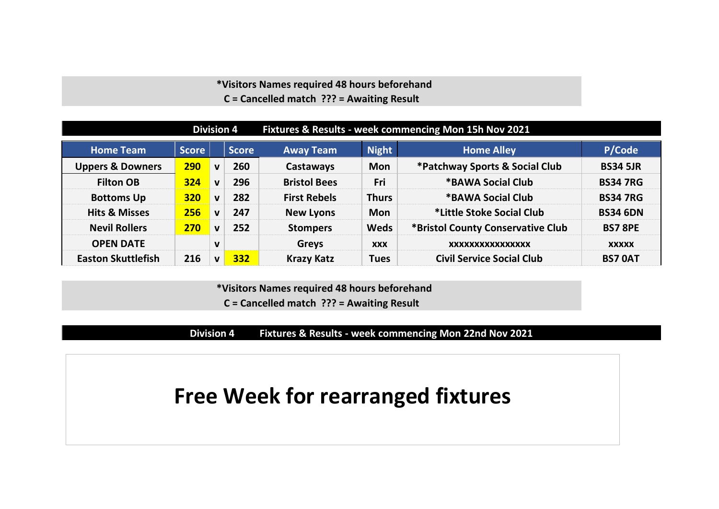### **\*Visitors Names required 48 hours beforehand C = Cancelled match ??? = Awaiting Result**

|                             | <b>Division 4</b> |              |              | Fixtures & Results - week commencing Mon 15h Nov 2021 |              |                                   |                 |  |
|-----------------------------|-------------------|--------------|--------------|-------------------------------------------------------|--------------|-----------------------------------|-----------------|--|
| <b>Home Team</b>            | <b>Score</b>      |              | <b>Score</b> | <b>Away Team</b>                                      | <b>Night</b> | <b>Home Alley</b>                 | P/Code          |  |
| <b>Uppers &amp; Downers</b> | <b>290</b>        | $\mathbf{v}$ | 260          | Castaways                                             | <b>Mon</b>   | *Patchway Sports & Social Club    | <b>BS34 5JR</b> |  |
| <b>Filton OB</b>            | 324               | $\mathbf v$  | 296          | <b>Bristol Bees</b>                                   | Fri          | *BAWA Social Club                 | <b>BS34 7RG</b> |  |
| <b>Bottoms Up</b>           | <b>320</b>        | $\mathbf{v}$ | 282          | <b>First Rebels</b>                                   | <b>Thurs</b> | *BAWA Social Club                 | <b>BS34 7RG</b> |  |
| <b>Hits &amp; Misses</b>    | 256               | $\mathbf{v}$ | 247          | <b>New Lyons</b>                                      | <b>Mon</b>   | *Little Stoke Social Club         | <b>BS34 6DN</b> |  |
| <b>Nevil Rollers</b>        | 270               | $\mathbf{v}$ | 252          | <b>Stompers</b>                                       | <b>Weds</b>  | *Bristol County Conservative Club | <b>BS7 8PE</b>  |  |
| <b>OPEN DATE</b>            |                   | $\mathbf{V}$ |              | <b>Greys</b>                                          | <b>XXX</b>   | XXXXXXXXXXXXXXXX                  | <b>XXXXX</b>    |  |
| <b>Easton Skuttlefish</b>   | 216               | $\mathbf{v}$ | 332          | <b>Krazy Katz</b>                                     | <b>Tues</b>  | <b>Civil Service Social Club</b>  | <b>BS7 OAT</b>  |  |

 **\*Visitors Names required 48 hours beforehand**

**C = Cancelled match ??? = Awaiting Result**

**Division 4 Fixtures & Results - week commencing Mon 22nd Nov 2021**

# **Free Week for rearranged fixtures**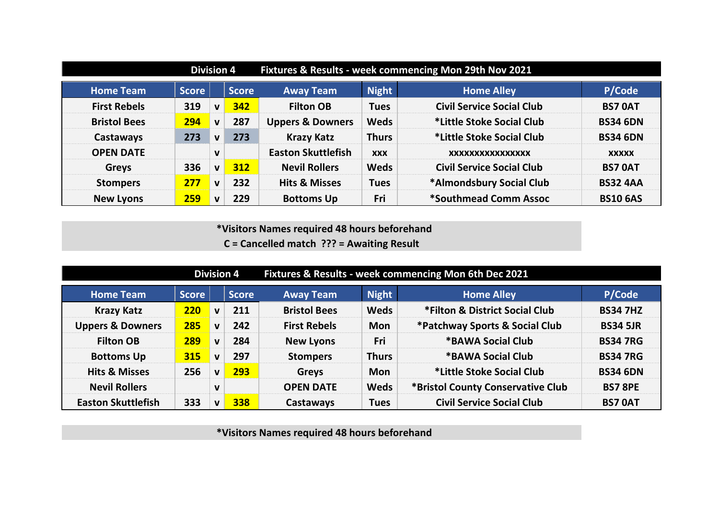|                     | <b>Division 4</b> |             |              | Fixtures & Results - week commencing Mon 29th Nov 2021 |              |                                  |                 |  |
|---------------------|-------------------|-------------|--------------|--------------------------------------------------------|--------------|----------------------------------|-----------------|--|
| <b>Home Team</b>    | <b>Score</b>      |             | <b>Score</b> | <b>Away Team</b>                                       | <b>Night</b> | <b>Home Alley</b>                | P/Code          |  |
| <b>First Rebels</b> | 319               | V           | 342          | <b>Filton OB</b>                                       | <b>Tues</b>  | <b>Civil Service Social Club</b> | <b>BS7 0AT</b>  |  |
| <b>Bristol Bees</b> | 294               | $\mathbf v$ | 287          | <b>Uppers &amp; Downers</b>                            | <b>Weds</b>  | *Little Stoke Social Club        | <b>BS34 6DN</b> |  |
| Castaways           | 273               | $\mathbf v$ | 273          | <b>Krazy Katz</b>                                      | <b>Thurs</b> | *Little Stoke Social Club        | <b>BS34 6DN</b> |  |
| <b>OPEN DATE</b>    |                   | $\mathbf v$ |              | <b>Easton Skuttlefish</b>                              | <b>XXX</b>   | XXXXXXXXXXXXXXXX                 | <b>XXXXX</b>    |  |
| <b>Greys</b>        | 336               | V           | 312          | <b>Nevil Rollers</b>                                   | <b>Weds</b>  | <b>Civil Service Social Club</b> | <b>BS7 OAT</b>  |  |
| <b>Stompers</b>     | 277               | $\mathbf v$ | 232          | <b>Hits &amp; Misses</b>                               | <b>Tues</b>  | *Almondsbury Social Club         | <b>BS32 4AA</b> |  |
| <b>New Lyons</b>    | 259               | $\mathbf v$ | 229          | <b>Bottoms Up</b>                                      | Fri          | *Southmead Comm Assoc            | <b>BS10 6AS</b> |  |

**C = Cancelled match ??? = Awaiting Result**

|                             | <b>Division 4</b> |              |              | Fixtures & Results - week commencing Mon 6th Dec 2021 |              |                                   |                 |  |  |
|-----------------------------|-------------------|--------------|--------------|-------------------------------------------------------|--------------|-----------------------------------|-----------------|--|--|
| <b>Home Team</b>            | <b>Score</b>      |              | <b>Score</b> | <b>Away Team</b>                                      | <b>Night</b> | <b>Home Alley</b>                 | P/Code          |  |  |
| <b>Krazy Katz</b>           | 220               | $\mathbf{v}$ | 211          | <b>Bristol Bees</b>                                   | <b>Weds</b>  | *Filton & District Social Club    | <b>BS34 7HZ</b> |  |  |
| <b>Uppers &amp; Downers</b> | 285               | $\mathbf{v}$ | 242          | <b>First Rebels</b>                                   | <b>Mon</b>   | *Patchway Sports & Social Club    | <b>BS34 5JR</b> |  |  |
| <b>Filton OB</b>            | 289               | $\mathbf{V}$ | 284          | <b>New Lyons</b>                                      | Fri          | *BAWA Social Club                 | <b>BS34 7RG</b> |  |  |
| <b>Bottoms Up</b>           | 315               | $\mathbf v$  | 297          | <b>Stompers</b>                                       | <b>Thurs</b> | *BAWA Social Club                 | <b>BS34 7RG</b> |  |  |
| <b>Hits &amp; Misses</b>    | 256               | $\mathbf{v}$ | 293          | <b>Greys</b>                                          | <b>Mon</b>   | *Little Stoke Social Club         | <b>BS34 6DN</b> |  |  |
| <b>Nevil Rollers</b>        |                   | $\mathbf v$  |              | <b>OPEN DATE</b>                                      | <b>Weds</b>  | *Bristol County Conservative Club | <b>BS7 8PE</b>  |  |  |
| <b>Easton Skuttlefish</b>   | 333               | V            | 338          | Castaways                                             | <b>Tues</b>  | <b>Civil Service Social Club</b>  | <b>BS7 0AT</b>  |  |  |

 **\*Visitors Names required 48 hours beforehand**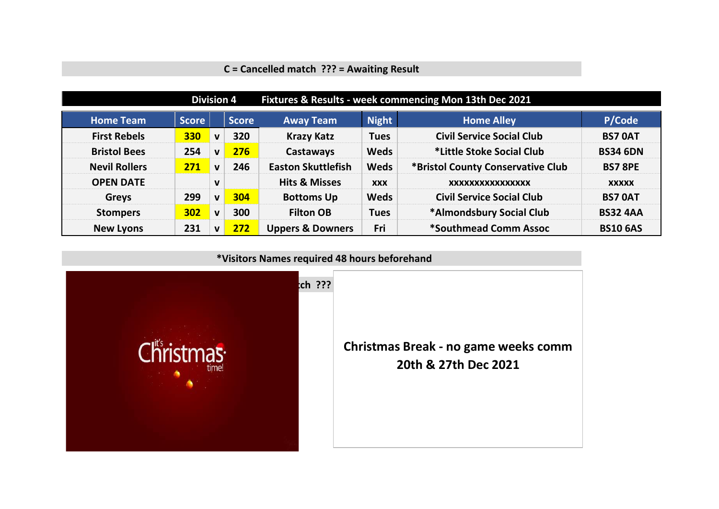## **C = Cancelled match ??? = Awaiting Result**

|                      | <b>Division 4</b> |              |              | Fixtures & Results - week commencing Mon 13th Dec 2021 |              |                                   |                 |  |  |
|----------------------|-------------------|--------------|--------------|--------------------------------------------------------|--------------|-----------------------------------|-----------------|--|--|
| <b>Home Team</b>     | <b>Score</b>      |              | <b>Score</b> | <b>Away Team</b>                                       | <b>Night</b> | <b>Home Alley</b>                 | P/Code          |  |  |
| <b>First Rebels</b>  | 330               | $\mathbf v$  | 320          | <b>Krazy Katz</b>                                      | <b>Tues</b>  | <b>Civil Service Social Club</b>  | <b>BS7 0AT</b>  |  |  |
| <b>Bristol Bees</b>  | 254               | $\mathbf v$  | 276          | Castaways                                              | <b>Weds</b>  | *Little Stoke Social Club         | <b>BS34 6DN</b> |  |  |
| <b>Nevil Rollers</b> | 271               | $\mathbf v$  | 246          | <b>Easton Skuttlefish</b>                              | <b>Weds</b>  | *Bristol County Conservative Club | <b>BS7 8PE</b>  |  |  |
| <b>OPEN DATE</b>     |                   | $\mathbf v$  |              | <b>Hits &amp; Misses</b>                               | <b>XXX</b>   | XXXXXXXXXXXXXXXX                  | <b>XXXXX</b>    |  |  |
| <b>Greys</b>         | 299               | $\mathbf{v}$ | 304          | <b>Bottoms Up</b>                                      | <b>Weds</b>  | <b>Civil Service Social Club</b>  | <b>BS7 0AT</b>  |  |  |
| <b>Stompers</b>      | 302               | $\mathbf{V}$ | 300          | <b>Filton OB</b>                                       | <b>Tues</b>  | *Almondsbury Social Club          | <b>BS32 4AA</b> |  |  |
| <b>New Lyons</b>     | 231               | $\mathbf v$  | 272          | <b>Uppers &amp; Downers</b>                            | Fri          | *Southmead Comm Assoc             | <b>BS10 6AS</b> |  |  |

 **\*Visitors Names required 48 hours beforehand**

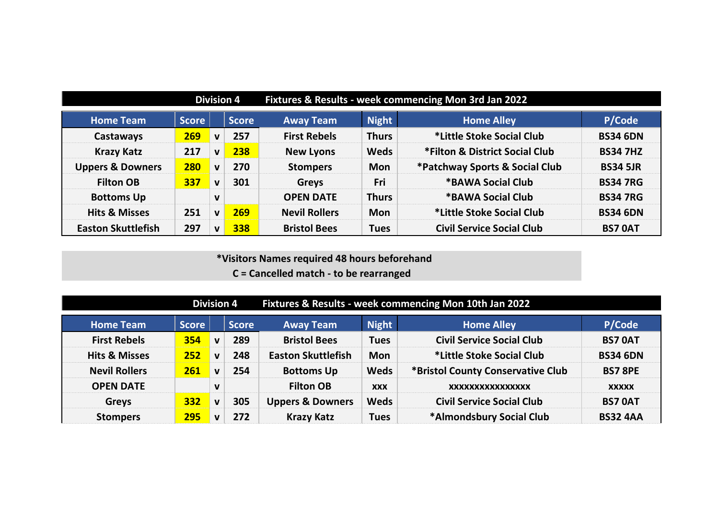|                             | <b>Division 4</b> |              |              | Fixtures & Results - week commencing Mon 3rd Jan 2022 |              |                                  |                 |  |  |
|-----------------------------|-------------------|--------------|--------------|-------------------------------------------------------|--------------|----------------------------------|-----------------|--|--|
| <b>Home Team</b>            | <b>Score</b>      |              | <b>Score</b> | <b>Away Team</b>                                      | <b>Night</b> | <b>Home Alley</b>                | P/Code          |  |  |
| Castaways                   | 269               | $\mathbf{V}$ | 257          | <b>First Rebels</b>                                   | <b>Thurs</b> | *Little Stoke Social Club        | <b>BS34 6DN</b> |  |  |
| <b>Krazy Katz</b>           | 217               | $\mathbf v$  | 238          | <b>New Lyons</b>                                      | <b>Weds</b>  | *Filton & District Social Club   | <b>BS34 7HZ</b> |  |  |
| <b>Uppers &amp; Downers</b> | 280               | $\mathbf{v}$ | 270          | <b>Stompers</b>                                       | <b>Mon</b>   | *Patchway Sports & Social Club   | <b>BS34 5JR</b> |  |  |
| <b>Filton OB</b>            | 337               | $\mathbf{V}$ | 301          | <b>Greys</b>                                          | Fri          | *BAWA Social Club                | <b>BS34 7RG</b> |  |  |
| <b>Bottoms Up</b>           |                   | $\mathbf v$  |              | <b>OPEN DATE</b>                                      | <b>Thurs</b> | *BAWA Social Club                | <b>BS34 7RG</b> |  |  |
| <b>Hits &amp; Misses</b>    | 251               | $\mathbf{V}$ | 269          | <b>Nevil Rollers</b>                                  | <b>Mon</b>   | *Little Stoke Social Club        | <b>BS34 6DN</b> |  |  |
| <b>Easton Skuttlefish</b>   | 297               | $\mathbf v$  | 338          | <b>Bristol Bees</b>                                   | <b>Tues</b>  | <b>Civil Service Social Club</b> | <b>BS7 0AT</b>  |  |  |

|                          | <b>Division 4</b> |             |       | Fixtures & Results - week commencing Mon 10th Jan 2022 |              |                                   |                 |  |  |
|--------------------------|-------------------|-------------|-------|--------------------------------------------------------|--------------|-----------------------------------|-----------------|--|--|
| <b>Home Team</b>         | <b>Score</b>      |             | Score | <b>Away Team</b>                                       | <b>Night</b> | <b>Home Alley</b>                 | P/Code          |  |  |
| <b>First Rebels</b>      | 354               | $\mathbf v$ | 289   | <b>Bristol Bees</b>                                    | <b>Tues</b>  | <b>Civil Service Social Club</b>  | <b>BS7 OAT</b>  |  |  |
| <b>Hits &amp; Misses</b> | 252               | $\mathbf v$ | 248   | <b>Easton Skuttlefish</b>                              | <b>Mon</b>   | *Little Stoke Social Club         | <b>BS34 6DN</b> |  |  |
| <b>Nevil Rollers</b>     | 261               | $\mathbf v$ | 254   | <b>Bottoms Up</b>                                      | <b>Weds</b>  | *Bristol County Conservative Club | <b>BS7 8PE</b>  |  |  |
| <b>OPEN DATE</b>         |                   | $\mathbf v$ |       | <b>Filton OB</b>                                       | <b>XXX</b>   | XXXXXXXXXXXXXXXX                  | <b>XXXXX</b>    |  |  |
| <b>Greys</b>             | 332               | $\mathbf v$ | 305   | <b>Uppers &amp; Downers</b>                            | <b>Weds</b>  | <b>Civil Service Social Club</b>  | <b>BS7 0AT</b>  |  |  |
| <b>Stompers</b>          | 295               | $\mathbf v$ | 272   | <b>Krazy Katz</b>                                      | <b>Tues</b>  | *Almondsbury Social Club          | <b>BS32 4AA</b> |  |  |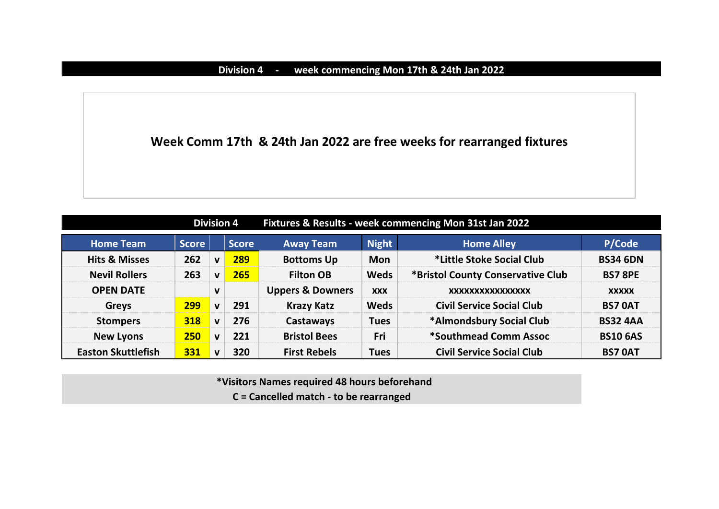## **Division 4 - week commencing Mon 17th & 24th Jan 2022**

**Week Comm 17th & 24th Jan 2022 are free weeks for rearranged fixtures**

|                           | <b>Division 4</b> |              |              | Fixtures & Results - week commencing Mon 31st Jan 2022 |              |                                   |                 |  |
|---------------------------|-------------------|--------------|--------------|--------------------------------------------------------|--------------|-----------------------------------|-----------------|--|
| <b>Home Team</b>          | <b>Score</b>      |              | <b>Score</b> | <b>Away Team</b>                                       | <b>Night</b> | <b>Home Alley</b>                 | P/Code          |  |
| <b>Hits &amp; Misses</b>  | 262               | $\mathbf{v}$ | 289          | <b>Bottoms Up</b>                                      | <b>Mon</b>   | *Little Stoke Social Club         | <b>BS34 6DN</b> |  |
| <b>Nevil Rollers</b>      | 263               | $\mathbf{v}$ | 265          | <b>Filton OB</b>                                       | <b>Weds</b>  | *Bristol County Conservative Club | <b>BS7 8PE</b>  |  |
| <b>OPEN DATE</b>          |                   | $\mathbf v$  |              | <b>Uppers &amp; Downers</b>                            | <b>XXX</b>   | XXXXXXXXXXXXXXXX                  | <b>XXXXX</b>    |  |
| <b>Greys</b>              | 299               | $\mathbf{v}$ | 291          | <b>Krazy Katz</b>                                      | <b>Weds</b>  | <b>Civil Service Social Club</b>  | <b>BS7 OAT</b>  |  |
| <b>Stompers</b>           | 318               | $\mathbf v$  | 276          | Castaways                                              | <b>Tues</b>  | *Almondsbury Social Club          | <b>BS32 4AA</b> |  |
| <b>New Lyons</b>          | 250               | $\mathbf{v}$ | 221          | <b>Bristol Bees</b>                                    | Fri          | *Southmead Comm Assoc             | <b>BS10 6AS</b> |  |
| <b>Easton Skuttlefish</b> | 331               | $\mathbf v$  | 320          | <b>First Rebels</b>                                    | <b>Tues</b>  | <b>Civil Service Social Club</b>  | <b>BS7 OAT</b>  |  |

 **\*Visitors Names required 48 hours beforehand C = Cancelled match - to be rearranged**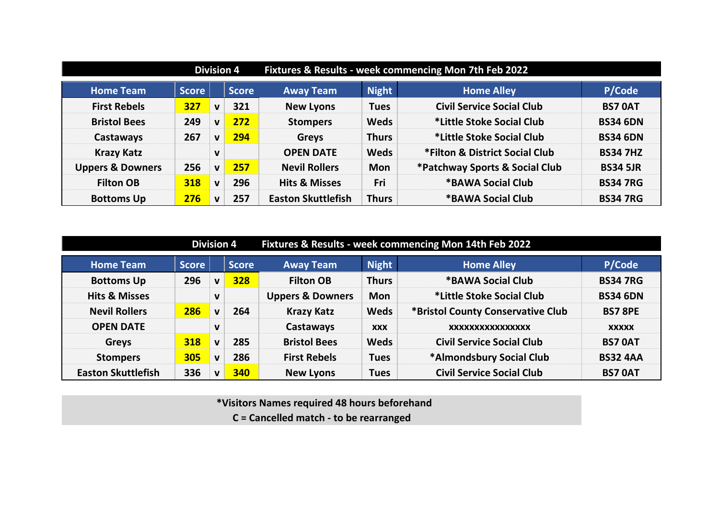|                             | <b>Division 4</b> |              |              | Fixtures & Results - week commencing Mon 7th Feb 2022 |              |                                  |                 |  |
|-----------------------------|-------------------|--------------|--------------|-------------------------------------------------------|--------------|----------------------------------|-----------------|--|
| <b>Home Team</b>            | <b>Score</b>      |              | <b>Score</b> | <b>Away Team</b>                                      | <b>Night</b> | <b>Home Alley</b>                | P/Code          |  |
| <b>First Rebels</b>         | 327               | $\mathbf v$  | 321          | <b>New Lyons</b>                                      | <b>Tues</b>  | <b>Civil Service Social Club</b> | <b>BS7 0AT</b>  |  |
| <b>Bristol Bees</b>         | 249               | $\mathbf v$  | 272          | <b>Stompers</b>                                       | <b>Weds</b>  | *Little Stoke Social Club        | <b>BS34 6DN</b> |  |
| Castaways                   | 267               | $\mathbf{V}$ | 294          | <b>Greys</b>                                          | <b>Thurs</b> | *Little Stoke Social Club        | <b>BS34 6DN</b> |  |
| <b>Krazy Katz</b>           |                   | $\mathbf v$  |              | <b>OPEN DATE</b>                                      | <b>Weds</b>  | *Filton & District Social Club   | <b>BS34 7HZ</b> |  |
| <b>Uppers &amp; Downers</b> | 256               | $\mathbf v$  | 257          | <b>Nevil Rollers</b>                                  | <b>Mon</b>   | *Patchway Sports & Social Club   | <b>BS34 5JR</b> |  |
| <b>Filton OB</b>            | 318               | $\mathbf v$  | 296          | <b>Hits &amp; Misses</b>                              | Fri          | *BAWA Social Club                | <b>BS34 7RG</b> |  |
| <b>Bottoms Up</b>           | 276               | $\mathbf v$  | 257          | <b>Easton Skuttlefish</b>                             | <b>Thurs</b> | *BAWA Social Club                | <b>BS34 7RG</b> |  |

|                           | <b>Division 4</b> |              |              | Fixtures & Results - week commencing Mon 14th Feb 2022 |              |                                   |                 |  |  |
|---------------------------|-------------------|--------------|--------------|--------------------------------------------------------|--------------|-----------------------------------|-----------------|--|--|
| <b>Home Team</b>          | <b>Score</b>      |              | <b>Score</b> | <b>Away Team</b>                                       | <b>Night</b> | <b>Home Alley</b>                 | P/Code          |  |  |
| <b>Bottoms Up</b>         | 296               | V            | 328          | <b>Filton OB</b>                                       | <b>Thurs</b> | *BAWA Social Club                 | <b>BS34 7RG</b> |  |  |
| <b>Hits &amp; Misses</b>  |                   | V            |              | <b>Uppers &amp; Downers</b>                            | <b>Mon</b>   | *Little Stoke Social Club         | <b>BS34 6DN</b> |  |  |
| <b>Nevil Rollers</b>      | 286               | $\mathbf v$  | 264          | <b>Krazy Katz</b>                                      | <b>Weds</b>  | *Bristol County Conservative Club | <b>BS7 8PE</b>  |  |  |
| <b>OPEN DATE</b>          |                   | V            |              | Castaways                                              | <b>XXX</b>   | XXXXXXXXXXXXXXXX                  | <b>XXXXX</b>    |  |  |
| <b>Greys</b>              | 318               | $\mathbf{v}$ | 285          | <b>Bristol Bees</b>                                    | <b>Weds</b>  | <b>Civil Service Social Club</b>  | <b>BS7 OAT</b>  |  |  |
| <b>Stompers</b>           | 305               | $\mathbf{v}$ | 286          | <b>First Rebels</b>                                    | <b>Tues</b>  | *Almondsbury Social Club          | <b>BS32 4AA</b> |  |  |
| <b>Easton Skuttlefish</b> | 336               | v            | 340          | <b>New Lyons</b>                                       | <b>Tues</b>  | <b>Civil Service Social Club</b>  | <b>BS7 OAT</b>  |  |  |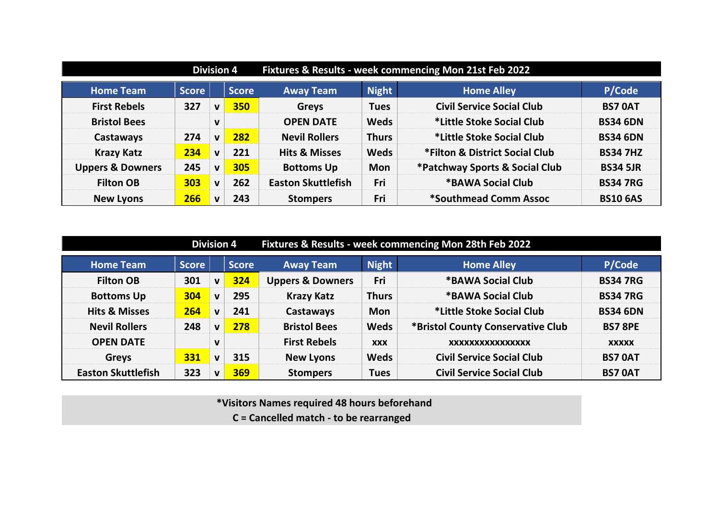|                             | <b>Division 4</b> |              |              | Fixtures & Results - week commencing Mon 21st Feb 2022 |              |                                  |                 |  |
|-----------------------------|-------------------|--------------|--------------|--------------------------------------------------------|--------------|----------------------------------|-----------------|--|
| <b>Home Team</b>            | <b>Score</b>      |              | <b>Score</b> | <b>Night</b><br><b>Home Alley</b><br><b>Away Team</b>  |              | P/Code                           |                 |  |
| <b>First Rebels</b>         | 327               | $\mathbf v$  | 350          | <b>Greys</b>                                           | <b>Tues</b>  | <b>Civil Service Social Club</b> | <b>BS7 0AT</b>  |  |
| <b>Bristol Bees</b>         |                   | $\mathbf v$  |              | <b>OPEN DATE</b>                                       | <b>Weds</b>  | *Little Stoke Social Club        | <b>BS34 6DN</b> |  |
| Castaways                   | 274               | $\mathbf v$  | 282          | <b>Nevil Rollers</b>                                   | <b>Thurs</b> | *Little Stoke Social Club        | <b>BS34 6DN</b> |  |
| <b>Krazy Katz</b>           | 234               | $\mathbf v$  | 221          | <b>Hits &amp; Misses</b>                               | <b>Weds</b>  | *Filton & District Social Club   | <b>BS34 7HZ</b> |  |
| <b>Uppers &amp; Downers</b> | 245               | $\mathbf{V}$ | 305          | <b>Bottoms Up</b>                                      | <b>Mon</b>   | *Patchway Sports & Social Club   | <b>BS34 5JR</b> |  |
| <b>Filton OB</b>            | 303               | $\mathbf v$  | 262          | <b>Easton Skuttlefish</b>                              | Fri          | <b>*BAWA Social Club</b>         | <b>BS34 7RG</b> |  |
| <b>New Lyons</b>            | 266               | $\mathbf v$  | 243          | <b>Stompers</b>                                        | Fri          | *Southmead Comm Assoc            | <b>BS10 6AS</b> |  |

|                           | <b>Division 4</b> |              |              | Fixtures & Results - week commencing Mon 28th Feb 2022 |              |                                   |                 |  |  |
|---------------------------|-------------------|--------------|--------------|--------------------------------------------------------|--------------|-----------------------------------|-----------------|--|--|
| <b>Home Team</b>          | <b>Score</b>      |              | <b>Score</b> | <b>Away Team</b>                                       | <b>Night</b> | <b>Home Alley</b>                 | P/Code          |  |  |
| <b>Filton OB</b>          | 301               | v            | 324          | <b>Uppers &amp; Downers</b>                            | Fri          | *BAWA Social Club                 | <b>BS34 7RG</b> |  |  |
| <b>Bottoms Up</b>         | 304               | V            | 295          | <b>Krazy Katz</b>                                      | <b>Thurs</b> | *BAWA Social Club                 | <b>BS34 7RG</b> |  |  |
| <b>Hits &amp; Misses</b>  | 264               | $\mathbf{v}$ | 241          | <b>Castaways</b>                                       | <b>Mon</b>   | *Little Stoke Social Club         | <b>BS34 6DN</b> |  |  |
| <b>Nevil Rollers</b>      | 248               | v            | 278          | <b>Bristol Bees</b>                                    | <b>Weds</b>  | *Bristol County Conservative Club | <b>BS7 8PE</b>  |  |  |
| <b>OPEN DATE</b>          |                   | V            |              | <b>First Rebels</b>                                    | <b>XXX</b>   | XXXXXXXXXXXXXXXX                  | <b>XXXXX</b>    |  |  |
| <b>Greys</b>              | 331               | V            | 315          | <b>New Lyons</b>                                       | <b>Weds</b>  | <b>Civil Service Social Club</b>  | <b>BS7 OAT</b>  |  |  |
| <b>Easton Skuttlefish</b> | 323               | v            | 369          | <b>Stompers</b>                                        | <b>Tues</b>  | <b>Civil Service Social Club</b>  | <b>BS7 OAT</b>  |  |  |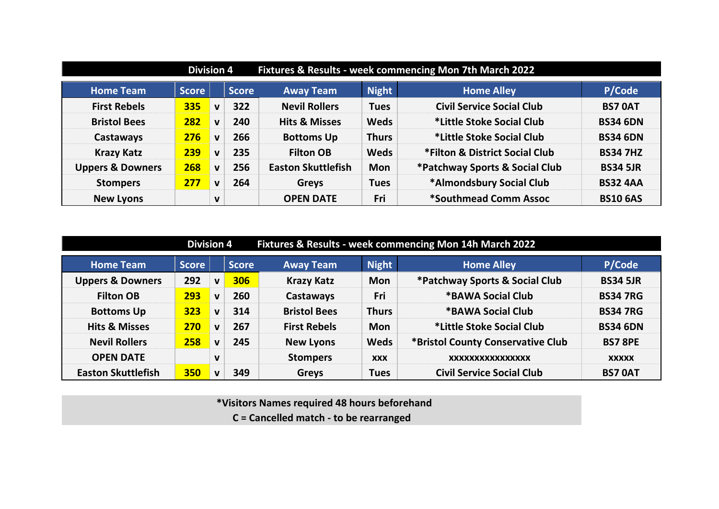|                             | Fixtures & Results - week commencing Mon 7th March 2022<br><b>Division 4</b> |             |              |                           |              |                                  |                 |  |  |  |
|-----------------------------|------------------------------------------------------------------------------|-------------|--------------|---------------------------|--------------|----------------------------------|-----------------|--|--|--|
| <b>Home Team</b>            | <b>Score</b>                                                                 |             | <b>Score</b> | <b>Away Team</b>          | <b>Night</b> | <b>Home Alley</b>                | P/Code          |  |  |  |
| <b>First Rebels</b>         | 335                                                                          | $\mathbf v$ | 322          | <b>Nevil Rollers</b>      | <b>Tues</b>  | <b>Civil Service Social Club</b> | <b>BS7 0AT</b>  |  |  |  |
| <b>Bristol Bees</b>         | 282                                                                          | $\mathbf v$ | 240          | <b>Hits &amp; Misses</b>  | <b>Weds</b>  | *Little Stoke Social Club        | <b>BS34 6DN</b> |  |  |  |
| Castaways                   | 276                                                                          | $\mathbf v$ | 266          | <b>Bottoms Up</b>         | <b>Thurs</b> | *Little Stoke Social Club        | <b>BS34 6DN</b> |  |  |  |
| <b>Krazy Katz</b>           | 239                                                                          | $\mathbf v$ | 235          | <b>Filton OB</b>          | <b>Weds</b>  | *Filton & District Social Club   | <b>BS34 7HZ</b> |  |  |  |
| <b>Uppers &amp; Downers</b> | 268                                                                          | $\mathbf v$ | 256          | <b>Easton Skuttlefish</b> | <b>Mon</b>   | *Patchway Sports & Social Club   | <b>BS34 5JR</b> |  |  |  |
| <b>Stompers</b>             | 277                                                                          | $\mathbf v$ | 264          | <b>Greys</b>              | <b>Tues</b>  | *Almondsbury Social Club         | <b>BS32 4AA</b> |  |  |  |
| <b>New Lyons</b>            |                                                                              | V           |              | <b>OPEN DATE</b>          | Fri          | *Southmead Comm Assoc            | <b>BS10 6AS</b> |  |  |  |

| Fixtures & Results - week commencing Mon 14h March 2022<br><b>Division 4</b> |              |              |              |                     |              |                                   |                 |  |  |  |  |
|------------------------------------------------------------------------------|--------------|--------------|--------------|---------------------|--------------|-----------------------------------|-----------------|--|--|--|--|
| <b>Home Team</b>                                                             | <b>Score</b> |              | <b>Score</b> | <b>Away Team</b>    | <b>Night</b> | <b>Home Alley</b>                 | P/Code          |  |  |  |  |
| <b>Uppers &amp; Downers</b>                                                  | 292          | $\mathbf v$  | 306          | <b>Krazy Katz</b>   | <b>Mon</b>   | *Patchway Sports & Social Club    | <b>BS34 5JR</b> |  |  |  |  |
| <b>Filton OB</b>                                                             | 293          | $\mathbf{v}$ | 260          | Castaways           | Fri          | *BAWA Social Club                 | <b>BS34 7RG</b> |  |  |  |  |
| <b>Bottoms Up</b>                                                            | 323          | $\mathbf{v}$ | 314          | <b>Bristol Bees</b> | <b>Thurs</b> | *BAWA Social Club                 | <b>BS34 7RG</b> |  |  |  |  |
| <b>Hits &amp; Misses</b>                                                     | 270          | $\mathbf{v}$ | 267          | <b>First Rebels</b> | <b>Mon</b>   | *Little Stoke Social Club         | <b>BS34 6DN</b> |  |  |  |  |
| <b>Nevil Rollers</b>                                                         | 258          | $\mathbf{v}$ | 245          | <b>New Lyons</b>    | <b>Weds</b>  | *Bristol County Conservative Club | <b>BS7 8PE</b>  |  |  |  |  |
| <b>OPEN DATE</b>                                                             |              | $\mathbf v$  |              | <b>Stompers</b>     | <b>XXX</b>   | XXXXXXXXXXXXXXXX                  | <b>XXXXX</b>    |  |  |  |  |
| <b>Easton Skuttlefish</b>                                                    | 350          | $\mathbf{v}$ | 349          | <b>Greys</b>        | <b>Tues</b>  | <b>Civil Service Social Club</b>  | <b>BS7 0AT</b>  |  |  |  |  |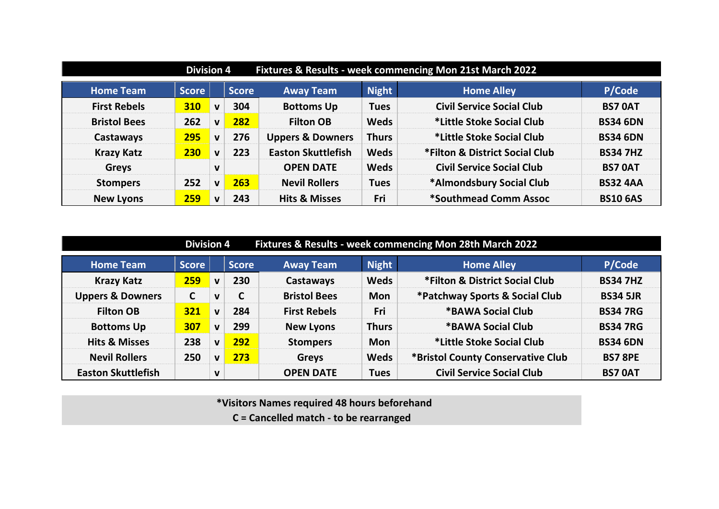| Fixtures & Results - week commencing Mon 21st March 2022<br><b>Division 4</b> |              |              |              |                             |              |                                  |                 |  |  |  |  |
|-------------------------------------------------------------------------------|--------------|--------------|--------------|-----------------------------|--------------|----------------------------------|-----------------|--|--|--|--|
| <b>Home Team</b>                                                              | <b>Score</b> |              | <b>Score</b> | <b>Away Team</b>            | <b>Night</b> | <b>Home Alley</b>                | P/Code          |  |  |  |  |
| <b>First Rebels</b>                                                           | <b>310</b>   | $\mathbf v$  | 304          | <b>Bottoms Up</b>           | <b>Tues</b>  | <b>Civil Service Social Club</b> | <b>BS7 0AT</b>  |  |  |  |  |
| <b>Bristol Bees</b>                                                           | 262          | $\mathbf{V}$ | 282          | <b>Filton OB</b>            | <b>Weds</b>  | *Little Stoke Social Club        | <b>BS34 6DN</b> |  |  |  |  |
| Castaways                                                                     | 295          | $\mathbf v$  | 276          | <b>Uppers &amp; Downers</b> | <b>Thurs</b> | *Little Stoke Social Club        | <b>BS34 6DN</b> |  |  |  |  |
| <b>Krazy Katz</b>                                                             | 230          | $\mathbf{V}$ | 223          | <b>Easton Skuttlefish</b>   | <b>Weds</b>  | *Filton & District Social Club   | <b>BS34 7HZ</b> |  |  |  |  |
| <b>Greys</b>                                                                  |              | $\mathbf v$  |              | <b>OPEN DATE</b>            | <b>Weds</b>  | <b>Civil Service Social Club</b> | <b>BS7 0AT</b>  |  |  |  |  |
| <b>Stompers</b>                                                               | 252          | $\mathbf v$  | 263          | <b>Nevil Rollers</b>        | <b>Tues</b>  | *Almondsbury Social Club         | <b>BS32 4AA</b> |  |  |  |  |
| <b>New Lyons</b>                                                              | 259          | $\mathbf v$  | 243          | <b>Hits &amp; Misses</b>    | Fri          | *Southmead Comm Assoc            | <b>BS10 6AS</b> |  |  |  |  |

| Fixtures & Results - week commencing Mon 28th March 2022<br><b>Division 4</b> |              |              |              |                     |              |                                   |                 |  |  |  |
|-------------------------------------------------------------------------------|--------------|--------------|--------------|---------------------|--------------|-----------------------------------|-----------------|--|--|--|
| <b>Home Team</b>                                                              | <b>Score</b> |              | <b>Score</b> | <b>Away Team</b>    | <b>Night</b> | <b>Home Alley</b>                 | P/Code          |  |  |  |
| <b>Krazy Katz</b>                                                             | 259          | $\mathbf{V}$ | 230          | Castaways           | <b>Weds</b>  | *Filton & District Social Club    | <b>BS34 7HZ</b> |  |  |  |
| <b>Uppers &amp; Downers</b>                                                   | $\mathsf{C}$ | v            | C            | <b>Bristol Bees</b> | <b>Mon</b>   | *Patchway Sports & Social Club    | <b>BS34 5JR</b> |  |  |  |
| <b>Filton OB</b>                                                              | <b>321</b>   | $\mathbf{v}$ | 284          | <b>First Rebels</b> | Fri          | *BAWA Social Club                 | <b>BS34 7RG</b> |  |  |  |
| <b>Bottoms Up</b>                                                             | 307          | $\mathbf{v}$ | 299          | <b>New Lyons</b>    | <b>Thurs</b> | *BAWA Social Club                 | <b>BS34 7RG</b> |  |  |  |
| <b>Hits &amp; Misses</b>                                                      | 238          | V            | 292          | <b>Stompers</b>     | <b>Mon</b>   | *Little Stoke Social Club         | <b>BS34 6DN</b> |  |  |  |
| <b>Nevil Rollers</b>                                                          | 250          | V            | 273          | <b>Greys</b>        | <b>Weds</b>  | *Bristol County Conservative Club | <b>BS7 8PE</b>  |  |  |  |
| <b>Easton Skuttlefish</b>                                                     |              | V            |              | <b>OPEN DATE</b>    | <b>Tues</b>  | <b>Civil Service Social Club</b>  | <b>BS7 0AT</b>  |  |  |  |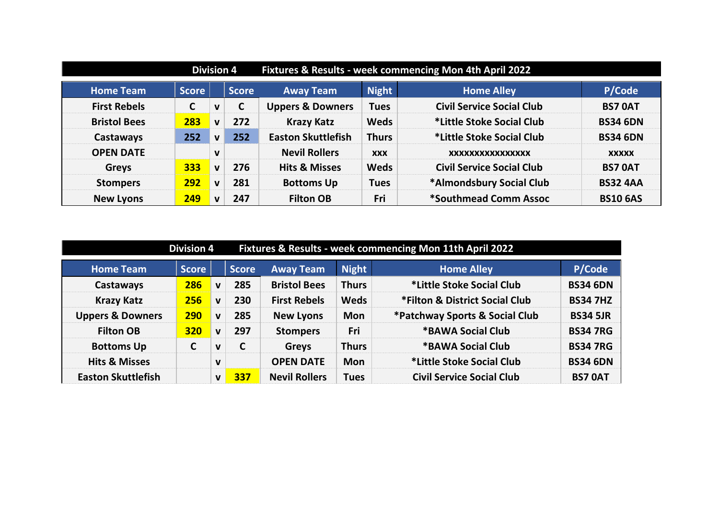|                     | <b>Division 4</b> |              |              | Fixtures & Results - week commencing Mon 4th April 2022 |              |                                  |                 |  |
|---------------------|-------------------|--------------|--------------|---------------------------------------------------------|--------------|----------------------------------|-----------------|--|
| <b>Home Team</b>    | <b>Score</b>      |              | <b>Score</b> | <b>Away Team</b>                                        | <b>Night</b> | <b>Home Alley</b>                | P/Code          |  |
| <b>First Rebels</b> | C                 | $\mathbf v$  | C            | <b>Uppers &amp; Downers</b>                             | <b>Tues</b>  | <b>Civil Service Social Club</b> | <b>BS7 OAT</b>  |  |
| <b>Bristol Bees</b> | 283               | $\mathbf v$  | 272          | <b>Krazy Katz</b>                                       | <b>Weds</b>  | *Little Stoke Social Club        | <b>BS34 6DN</b> |  |
| Castaways           | 252               | $\mathbf{V}$ | 252          | <b>Easton Skuttlefish</b>                               | <b>Thurs</b> | *Little Stoke Social Club        | <b>BS34 6DN</b> |  |
| <b>OPEN DATE</b>    |                   | $\mathbf v$  |              | <b>Nevil Rollers</b>                                    | <b>XXX</b>   | XXXXXXXXXXXXXXXX                 | <b>XXXXX</b>    |  |
| <b>Greys</b>        | 333               | $\mathbf v$  | 276          | <b>Hits &amp; Misses</b>                                | <b>Weds</b>  | <b>Civil Service Social Club</b> | <b>BS7 OAT</b>  |  |
| <b>Stompers</b>     | 292               | $\mathbf v$  | 281          | <b>Bottoms Up</b>                                       | <b>Tues</b>  | *Almondsbury Social Club         | <b>BS32 4AA</b> |  |
| <b>New Lyons</b>    | 249               | $\mathbf v$  | 247          | <b>Filton OB</b>                                        | Fri          | *Southmead Comm Assoc            | <b>BS10 6AS</b> |  |

| Fixtures & Results - week commencing Mon 11th April 2022<br><b>Division 4</b> |              |              |              |                      |              |                                  |                 |  |  |
|-------------------------------------------------------------------------------|--------------|--------------|--------------|----------------------|--------------|----------------------------------|-----------------|--|--|
| <b>Home Team</b>                                                              | <b>Score</b> |              | <b>Score</b> | <b>Away Team</b>     | <b>Night</b> | <b>Home Alley</b>                | P/Code          |  |  |
| Castaways                                                                     | 286          | $\mathbf{v}$ | 285          | <b>Bristol Bees</b>  | <b>Thurs</b> | *Little Stoke Social Club        | <b>BS34 6DN</b> |  |  |
| <b>Krazy Katz</b>                                                             | 256          | $\mathbf v$  | 230          | <b>First Rebels</b>  | <b>Weds</b>  | *Filton & District Social Club   | <b>BS34 7HZ</b> |  |  |
| <b>Uppers &amp; Downers</b>                                                   | 290          | $\mathbf v$  | 285          | <b>New Lyons</b>     | <b>Mon</b>   | *Patchway Sports & Social Club   | <b>BS34 5JR</b> |  |  |
| <b>Filton OB</b>                                                              | 320          | $\mathbf v$  | 297          | <b>Stompers</b>      | Fri          | <b>*BAWA Social Club</b>         | <b>BS34 7RG</b> |  |  |
| <b>Bottoms Up</b>                                                             | $\mathsf{C}$ | v            | C            | <b>Greys</b>         | <b>Thurs</b> | *BAWA Social Club                | <b>BS34 7RG</b> |  |  |
| <b>Hits &amp; Misses</b>                                                      |              | V            |              | <b>OPEN DATE</b>     | <b>Mon</b>   | *Little Stoke Social Club        | <b>BS34 6DN</b> |  |  |
| <b>Easton Skuttlefish</b>                                                     |              | V            | 337          | <b>Nevil Rollers</b> | <b>Tues</b>  | <b>Civil Service Social Club</b> | <b>BS7 OAT</b>  |  |  |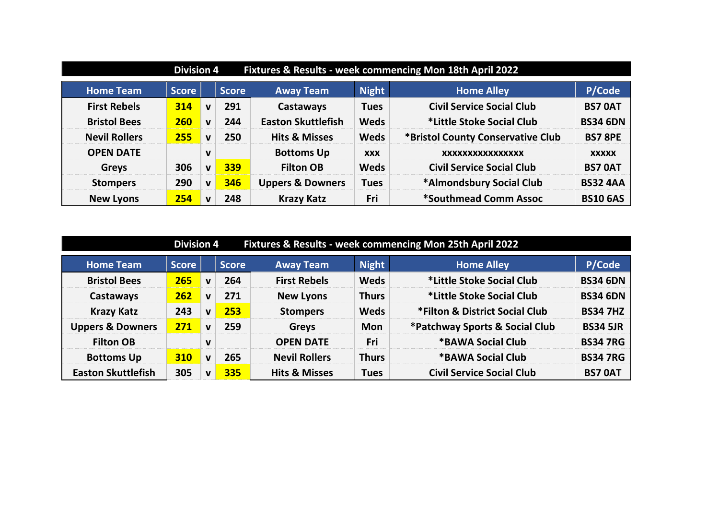| Fixtures & Results - week commencing Mon 18th April 2022<br><b>Division 4</b> |              |              |              |                             |              |                                   |                 |  |
|-------------------------------------------------------------------------------|--------------|--------------|--------------|-----------------------------|--------------|-----------------------------------|-----------------|--|
| <b>Home Team</b>                                                              | <b>Score</b> |              | <b>Score</b> | <b>Away Team</b>            | <b>Night</b> | <b>Home Alley</b>                 | P/Code          |  |
| <b>First Rebels</b>                                                           | 314          | $\mathbf{V}$ | 291          | Castaways                   | <b>Tues</b>  | <b>Civil Service Social Club</b>  | <b>BS7 0AT</b>  |  |
| <b>Bristol Bees</b>                                                           | <b>260</b>   | $\mathbf{v}$ | 244          | <b>Easton Skuttlefish</b>   | <b>Weds</b>  | *Little Stoke Social Club         | <b>BS34 6DN</b> |  |
| <b>Nevil Rollers</b>                                                          | 255          | $\mathbf v$  | 250          | <b>Hits &amp; Misses</b>    | <b>Weds</b>  | *Bristol County Conservative Club | <b>BS7 8PE</b>  |  |
| <b>OPEN DATE</b>                                                              |              | $\mathbf v$  |              | <b>Bottoms Up</b>           | <b>XXX</b>   | XXXXXXXXXXXXXXXX                  | <b>XXXXX</b>    |  |
| <b>Greys</b>                                                                  | 306          | $\mathbf{v}$ | 339          | <b>Filton OB</b>            | <b>Weds</b>  | <b>Civil Service Social Club</b>  | <b>BS7 OAT</b>  |  |
| <b>Stompers</b>                                                               | 290          | $\mathbf{v}$ | 346          | <b>Uppers &amp; Downers</b> | <b>Tues</b>  | *Almondsbury Social Club          | <b>BS32 4AA</b> |  |
| <b>New Lyons</b>                                                              | 254          | $\mathbf v$  | 248          | <b>Krazy Katz</b>           | Fri          | *Southmead Comm Assoc             | <b>BS10 6AS</b> |  |

| Fixtures & Results - week commencing Mon 25th April 2022<br><b>Division 4</b> |       |              |              |                          |              |                                  |                 |  |
|-------------------------------------------------------------------------------|-------|--------------|--------------|--------------------------|--------------|----------------------------------|-----------------|--|
| <b>Home Team</b>                                                              | Score |              | <b>Score</b> | <b>Away Team</b>         | <b>Night</b> | <b>Home Alley</b>                | P/Code          |  |
| <b>Bristol Bees</b>                                                           | 265   | $\mathbf{v}$ | 264          | <b>First Rebels</b>      | <b>Weds</b>  | *Little Stoke Social Club        | <b>BS34 6DN</b> |  |
| Castaways                                                                     | 262   | $\mathbf{v}$ | 271          | <b>New Lyons</b>         | <b>Thurs</b> | *Little Stoke Social Club        | <b>BS34 6DN</b> |  |
| <b>Krazy Katz</b>                                                             | 243   | $\mathbf{v}$ | 253          | <b>Stompers</b>          | <b>Weds</b>  | *Filton & District Social Club   | <b>BS34 7HZ</b> |  |
| <b>Uppers &amp; Downers</b>                                                   | 271   | $\mathbf v$  | 259          | <b>Greys</b>             | <b>Mon</b>   | *Patchway Sports & Social Club   | <b>BS34 5JR</b> |  |
| <b>Filton OB</b>                                                              |       | $\mathbf v$  |              | <b>OPEN DATE</b>         | Fri          | *BAWA Social Club                | <b>BS34 7RG</b> |  |
| <b>Bottoms Up</b>                                                             | 310   | $\mathbf v$  | 265          | <b>Nevil Rollers</b>     | <b>Thurs</b> | <b>*BAWA Social Club</b>         | <b>BS34 7RG</b> |  |
| <b>Easton Skuttlefish</b>                                                     | 305   | $\mathbf{v}$ | 335          | <b>Hits &amp; Misses</b> | <b>Tues</b>  | <b>Civil Service Social Club</b> | <b>BS7 OAT</b>  |  |